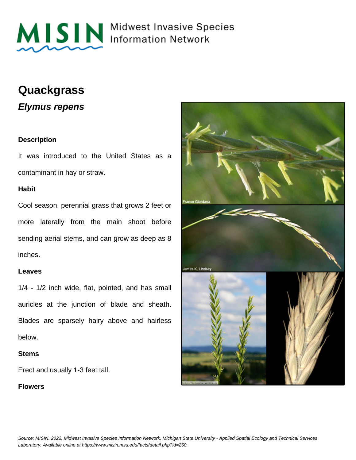

MISIN Midwest Invasive Species

# **Quackgrass**

**Elymus repens**

### **Description**

It was introduced to the United States as a contaminant in hay or straw.

#### **Habit**

Cool season, perennial grass that grows 2 feet or more laterally from the main shoot before sending aerial stems, and can grow as deep as 8 inches.

#### **Leaves**

1/4 - 1/2 inch wide, flat, pointed, and has small auricles at the junction of blade and sheath. Blades are sparsely hairy above and hairless below.

#### **Stems**

Erect and usually 1-3 feet tall.

#### **Flowers**

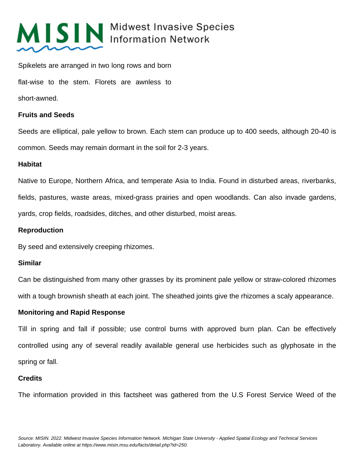

# MISIN Midwest Invasive Species

Spikelets are arranged in two long rows and born flat-wise to the stem. Florets are awnless to short-awned.

# **Fruits and Seeds**

Seeds are elliptical, pale yellow to brown. Each stem can produce up to 400 seeds, although 20-40 is common. Seeds may remain dormant in the soil for 2-3 years.

### **Habitat**

Native to Europe, Northern Africa, and temperate Asia to India. Found in disturbed areas, riverbanks, fields, pastures, waste areas, mixed-grass prairies and open woodlands. Can also invade gardens, yards, crop fields, roadsides, ditches, and other disturbed, moist areas.

## **Reproduction**

By seed and extensively creeping rhizomes.

# **Similar**

Can be distinguished from many other grasses by its prominent pale yellow or straw-colored rhizomes with a tough brownish sheath at each joint. The sheathed joints give the rhizomes a scaly appearance.

# **Monitoring and Rapid Response**

Till in spring and fall if possible; use control burns with approved burn plan. Can be effectively controlled using any of several readily available general use herbicides such as glyphosate in the spring or fall.

#### **Credits**

The information provided in this factsheet was gathered from the U.S Forest Service Weed of the